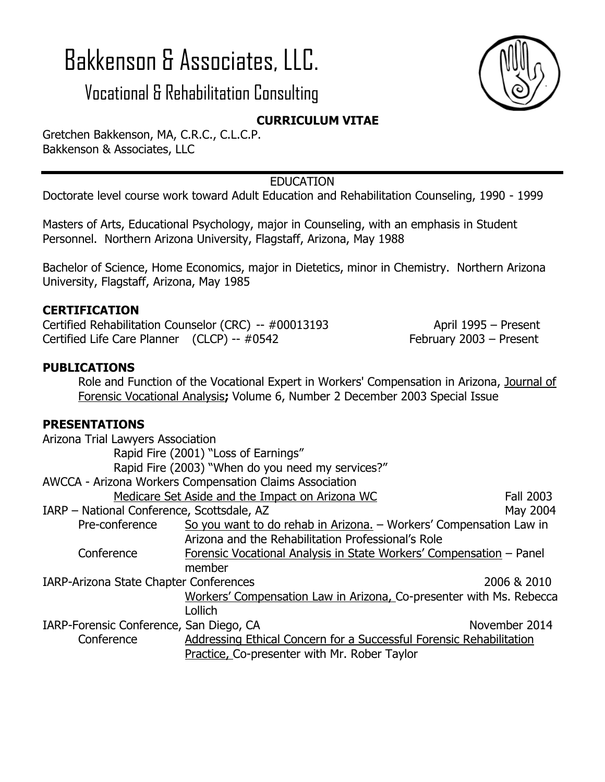# Bakkenson & Associates, LLC.

## Vocational & Rehabilitation Consulting



### **CURRICULUM VITAE**

Gretchen Bakkenson, MA, C.R.C., C.L.C.P. Bakkenson & Associates, LLC

#### EDUCATION

Doctorate level course work toward Adult Education and Rehabilitation Counseling, 1990 - 1999

Masters of Arts, Educational Psychology, major in Counseling, with an emphasis in Student Personnel. Northern Arizona University, Flagstaff, Arizona, May 1988

Bachelor of Science, Home Economics, major in Dietetics, minor in Chemistry. Northern Arizona University, Flagstaff, Arizona, May 1985

#### **CERTIFICATION**

Certified Rehabilitation Counselor (CRC) -- #00013193 April 1995 – Present Certified Life Care Planner (CLCP) -- #0542 February 2003 – Present

#### **PUBLICATIONS**

Role and Function of the Vocational Expert in Workers' Compensation in Arizona, Journal of Forensic Vocational Analysis**;** Volume 6, Number 2 December 2003 Special Issue

#### **PRESENTATIONS**

| Arizona Trial Lawyers Association          |                                                                     |                  |
|--------------------------------------------|---------------------------------------------------------------------|------------------|
|                                            | Rapid Fire (2001) "Loss of Earnings"                                |                  |
|                                            | Rapid Fire (2003) "When do you need my services?"                   |                  |
|                                            | AWCCA - Arizona Workers Compensation Claims Association             |                  |
|                                            | Medicare Set Aside and the Impact on Arizona WC                     | <b>Fall 2003</b> |
| IARP - National Conference, Scottsdale, AZ |                                                                     | May 2004         |
| Pre-conference                             | So you want to do rehab in Arizona. - Workers' Compensation Law in  |                  |
|                                            | Arizona and the Rehabilitation Professional's Role                  |                  |
| Conference                                 | Forensic Vocational Analysis in State Workers' Compensation – Panel |                  |
|                                            | member                                                              |                  |
| IARP-Arizona State Chapter Conferences     |                                                                     | 2006 & 2010      |
|                                            | Workers' Compensation Law in Arizona, Co-presenter with Ms. Rebecca |                  |
|                                            | Lollich                                                             |                  |
| IARP-Forensic Conference, San Diego, CA    |                                                                     | November 2014    |
| Conference                                 | Addressing Ethical Concern for a Successful Forensic Rehabilitation |                  |
|                                            | Practice, Co-presenter with Mr. Rober Taylor                        |                  |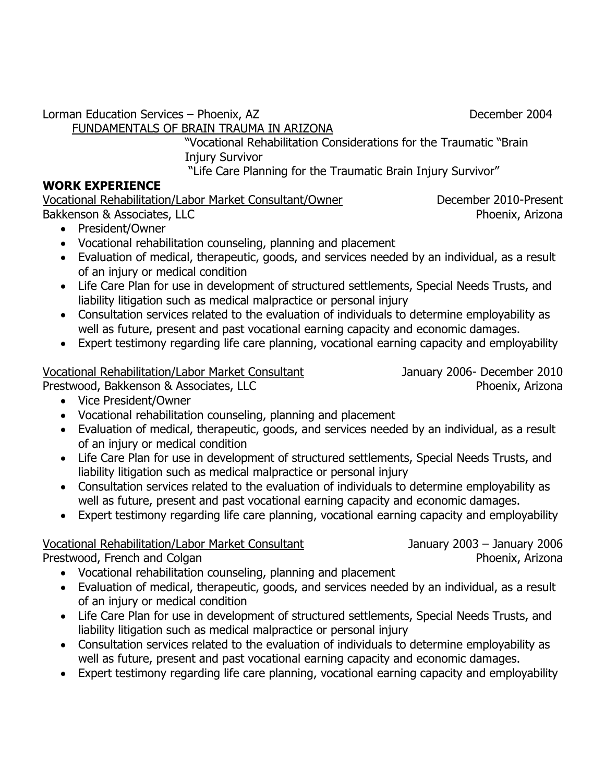Lorman Education Services – Phoenix, AZ December 2004

FUNDAMENTALS OF BRAIN TRAUMA IN ARIZONA

"Vocational Rehabilitation Considerations for the Traumatic "Brain Injury Survivor

"Life Care Planning for the Traumatic Brain Injury Survivor"

#### **WORK EXPERIENCE**

Vocational Rehabilitation/Labor Market Consultant/Owner December 2010-Present Bakkenson & Associates, LLC and the extension of the extension of the Phoenix, Arizona

- President/Owner
- Vocational rehabilitation counseling, planning and placement
- Evaluation of medical, therapeutic, goods, and services needed by an individual, as a result of an injury or medical condition
- Life Care Plan for use in development of structured settlements, Special Needs Trusts, and liability litigation such as medical malpractice or personal injury
- Consultation services related to the evaluation of individuals to determine employability as well as future, present and past vocational earning capacity and economic damages.
- Expert testimony regarding life care planning, vocational earning capacity and employability

#### Vocational Rehabilitation/Labor Market Consultant January 2006- December 2010

Prestwood, Bakkenson & Associates, LLC Phoenix, Arizona

- Vice President/Owner
- Vocational rehabilitation counseling, planning and placement
- Evaluation of medical, therapeutic, goods, and services needed by an individual, as a result of an injury or medical condition
- Life Care Plan for use in development of structured settlements, Special Needs Trusts, and liability litigation such as medical malpractice or personal injury
- Consultation services related to the evaluation of individuals to determine employability as well as future, present and past vocational earning capacity and economic damages.
- Expert testimony regarding life care planning, vocational earning capacity and employability

### Vocational Rehabilitation/Labor Market Consultant January 2003 – January 2006

Prestwood, French and Colgan **Phoenix, Arizona** 

- Vocational rehabilitation counseling, planning and placement
- Evaluation of medical, therapeutic, goods, and services needed by an individual, as a result of an injury or medical condition
- Life Care Plan for use in development of structured settlements, Special Needs Trusts, and liability litigation such as medical malpractice or personal injury
- Consultation services related to the evaluation of individuals to determine employability as well as future, present and past vocational earning capacity and economic damages.
- Expert testimony regarding life care planning, vocational earning capacity and employability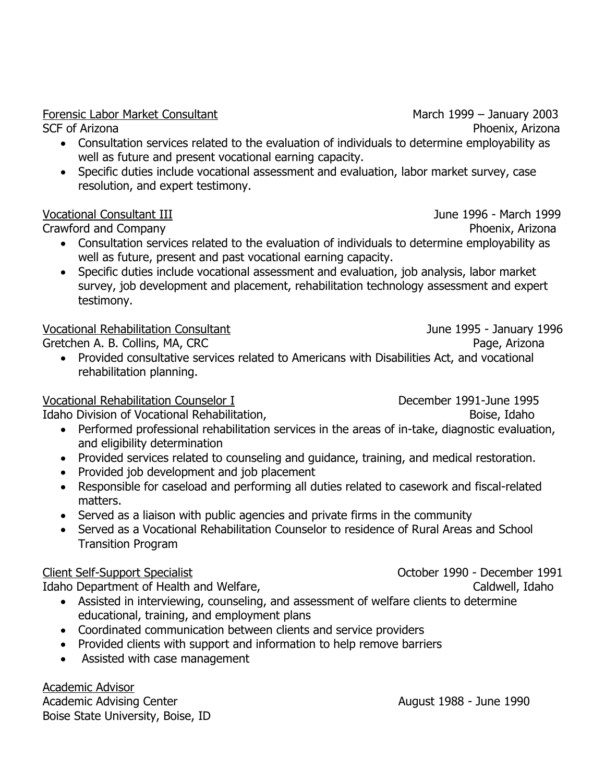SCF of Arizona **Phoenix, Arizona** 

 Consultation services related to the evaluation of individuals to determine employability as well as future and present vocational earning capacity.

Forensic Labor Market Consultant March 1999 – January 2003

• Specific duties include vocational assessment and evaluation, labor market survey, case resolution, and expert testimony.

#### Vocational Consultant III June 1996 - March 1999

Crawford and Company **Phoenix, Arizona** 

- Consultation services related to the evaluation of individuals to determine employability as well as future, present and past vocational earning capacity.
- Specific duties include vocational assessment and evaluation, job analysis, labor market survey, job development and placement, rehabilitation technology assessment and expert testimony.

#### Vocational Rehabilitation Consultant June 1995 - January 1996

Gretchen A. B. Collins, MA, CRC **Page, Accompage, Arizona** 

 Provided consultative services related to Americans with Disabilities Act, and vocational rehabilitation planning.

#### Vocational Rehabilitation Counselor I December 1991-June 1995

Idaho Division of Vocational Rehabilitation, The Controller of the Boise, Idaho

- Performed professional rehabilitation services in the areas of in-take, diagnostic evaluation, and eligibility determination
- Provided services related to counseling and quidance, training, and medical restoration.
- Provided job development and job placement
- Responsible for caseload and performing all duties related to casework and fiscal-related matters.
- Served as a liaison with public agencies and private firms in the community
- Served as a Vocational Rehabilitation Counselor to residence of Rural Areas and School Transition Program

Idaho Department of Health and Welfare, New York Caldwell, Idaho

- Assisted in interviewing, counseling, and assessment of welfare clients to determine educational, training, and employment plans
- Coordinated communication between clients and service providers
- Provided clients with support and information to help remove barriers
- Assisted with case management

Academic Advisor Academic Advising Center August 1988 - June 1990 Boise State University, Boise, ID

Client Self-Support Specialist October 1990 - December 1991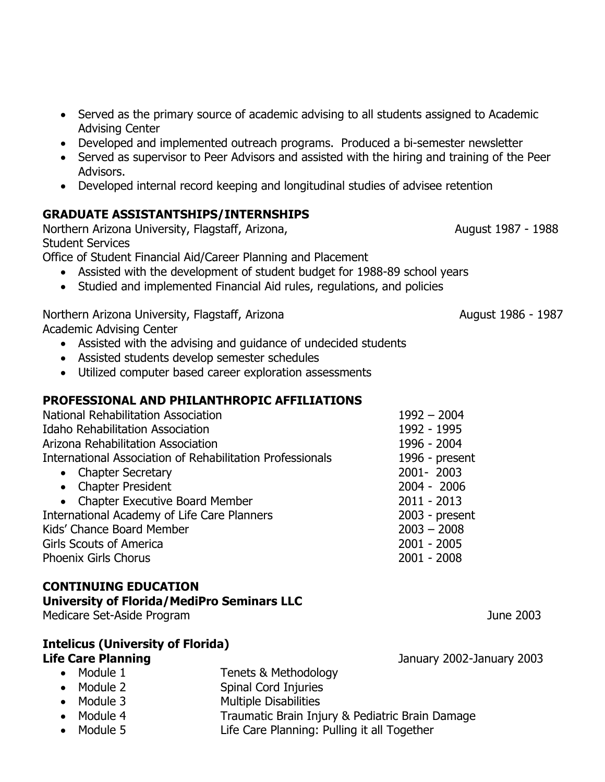- Served as the primary source of academic advising to all students assigned to Academic Advising Center
- Developed and implemented outreach programs. Produced a bi-semester newsletter
- Served as supervisor to Peer Advisors and assisted with the hiring and training of the Peer Advisors.
- Developed internal record keeping and longitudinal studies of advisee retention

#### **GRADUATE ASSISTANTSHIPS/INTERNSHIPS**

Northern Arizona University, Flagstaff, Arizona, August 1987 - 1988 Student Services

Office of Student Financial Aid/Career Planning and Placement

- Assisted with the development of student budget for 1988-89 school years
- Studied and implemented Financial Aid rules, regulations, and policies

Northern Arizona University, Flagstaff, Arizona August 1986 - 1987 Academic Advising Center

- Assisted with the advising and guidance of undecided students
- Assisted students develop semester schedules
- Utilized computer based career exploration assessments

#### **PROFESSIONAL AND PHILANTHROPIC AFFILIATIONS**

| National Rehabilitation Association                              | $1992 - 2004$    |
|------------------------------------------------------------------|------------------|
| <b>Idaho Rehabilitation Association</b>                          | 1992 - 1995      |
| Arizona Rehabilitation Association                               | 1996 - 2004      |
| <b>International Association of Rehabilitation Professionals</b> | 1996 - present   |
| • Chapter Secretary                                              | 2001-2003        |
| • Chapter President                                              | $2004 - 2006$    |
| • Chapter Executive Board Member                                 | $2011 - 2013$    |
| <b>International Academy of Life Care Planners</b>               | $2003$ - present |
| Kids' Chance Board Member                                        | $2003 - 2008$    |
| <b>Girls Scouts of America</b>                                   | $2001 - 2005$    |
| Phoenix Girls Chorus                                             | $2001 - 2008$    |

#### **CONTINUING EDUCATION**

#### **University of Florida/MediPro Seminars LLC**

Medicare Set-Aside Program June 2003

#### **Intelicus (University of Florida) Life Care Planning Life Care Planning**

- Module 1 Tenets & Methodology
- Module 2 Spinal Cord Injuries
- Module 3 Multiple Disabilities
- Module 4 **Traumatic Brain Injury & Pediatric Brain Damage**
- Module 5 Life Care Planning: Pulling it all Together